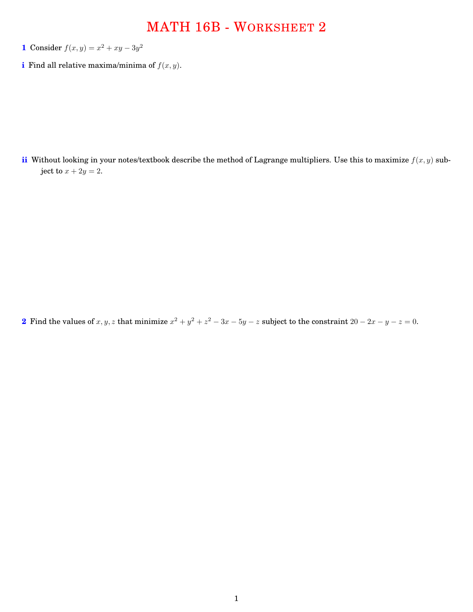## MATH 16B - WORKSHEET 2

- **1** Consider  $f(x, y) = x^2 + xy 3y^2$
- **i** Find all relative maxima/minima of  $f(x, y)$ .

**ii** Without looking in your notes/textbook describe the method of Lagrange multipliers. Use this to maximize *f*(*x, y*) subject to  $x + 2y = 2$ .

**2** Find the values of *x*, *y*, *z* that minimize  $x^2 + y^2 + z^2 - 3x - 5y - z$  subject to the constraint  $20 - 2x - y - z = 0$ .